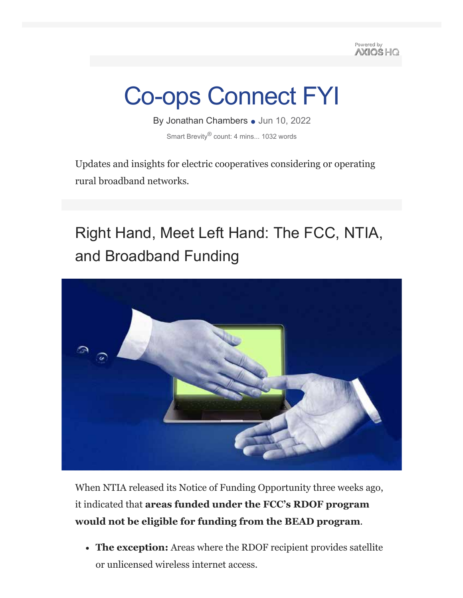Powered by **AXIOS HO** 

# Co-ops Connect FYI

By Jonathan Chambers • Jun 10, 2022 Smart Brevity<sup>®</sup> count: 4 mins... 1032 words

Updates and insights for electric cooperatives considering or operating rural broadband networks.

## Right Hand, Meet Left Hand: The FCC, NTIA, and Broadband Funding



When NTIA released its Notice of Funding Opportunity three weeks ago, it indicated that **areas funded under the FCC's RDOF program would not be eligible for funding from the BEAD program**.

**The exception:** Areas where the RDOF recipient provides satellite or unlicensed wireless internet access.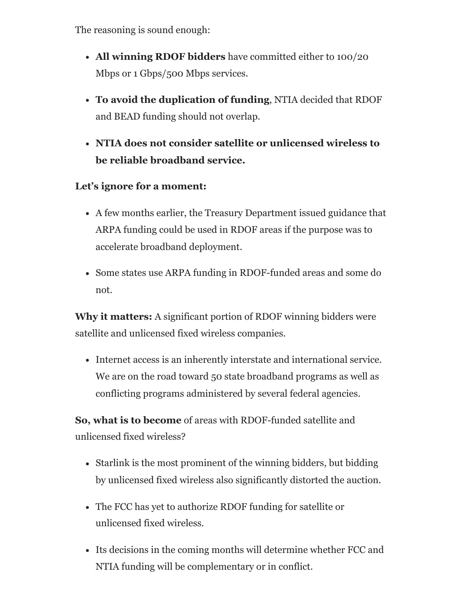The reasoning is sound enough:

- **All winning RDOF bidders** have committed either to 100/20 Mbps or 1 Gbps/500 Mbps services.
- **To avoid the duplication of funding**, NTIA decided that RDOF and BEAD funding should not overlap.
- **NTIA does not consider satellite or unlicensed wireless to be reliable broadband service.**

### **Let's ignore for a moment:**

- A few months earlier, the Treasury Department issued guidance that ARPA funding could be used in RDOF areas if the purpose was to accelerate broadband deployment.
- Some states use ARPA funding in RDOF-funded areas and some do not.

**Why it matters:** A significant portion of RDOF winning bidders were satellite and unlicensed fixed wireless companies.

Internet access is an inherently interstate and international service. We are on the road toward 50 state broadband programs as well as conflicting programs administered by several federal agencies.

**So, what is to become** of areas with RDOF-funded satellite and unlicensed fixed wireless?

- Starlink is the most prominent of the winning bidders, but bidding by unlicensed fixed wireless also significantly distorted the auction.
- The FCC has yet to authorize RDOF funding for satellite or unlicensed fixed wireless.
- Its decisions in the coming months will determine whether FCC and NTIA funding will be complementary or in conflict.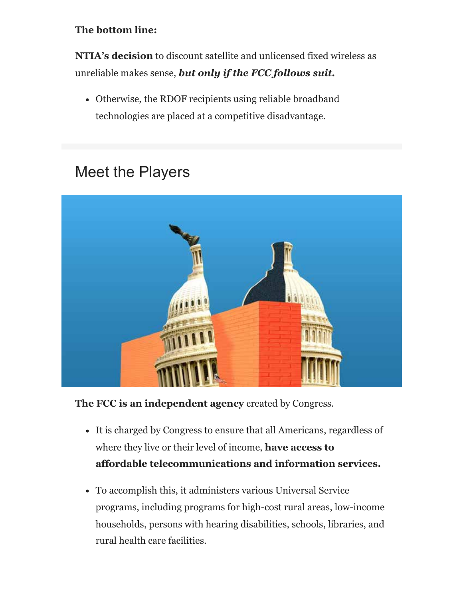#### **The bottom line:**

**NTIA's decision** to discount satellite and unlicensed fixed wireless as unreliable makes sense, *but only if the FCC follows suit.*

Otherwise, the RDOF recipients using reliable broadband technologies are placed at a competitive disadvantage.

### Meet the Players



**The FCC is an independent agency** created by Congress.

- It is charged by Congress to ensure that all Americans, regardless of where they live or their level of income, **have access to affordable telecommunications and information services.**
- To accomplish this, it administers various Universal Service programs, including programs for high-cost rural areas, low-income households, persons with hearing disabilities, schools, libraries, and rural health care facilities.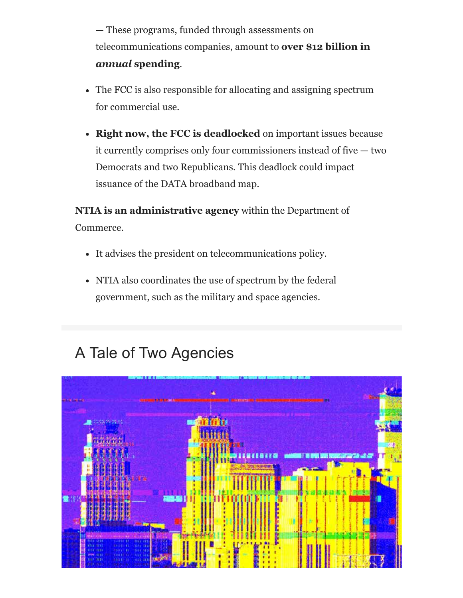— These programs, funded through assessments on telecommunications companies, amount to **over \$12 billion in** *annual* **spending**.

- The FCC is also responsible for allocating and assigning spectrum for commercial use.
- **Right now, the FCC is deadlocked** on important issues because it currently comprises only four commissioners instead of five — two Democrats and two Republicans. This deadlock could impact issuance of the DATA broadband map.

**NTIA is an administrative agency** within the Department of Commerce.

- It advises the president on telecommunications policy.
- NTIA also coordinates the use of spectrum by the federal government, such as the military and space agencies.

### A Tale of Two Agencies

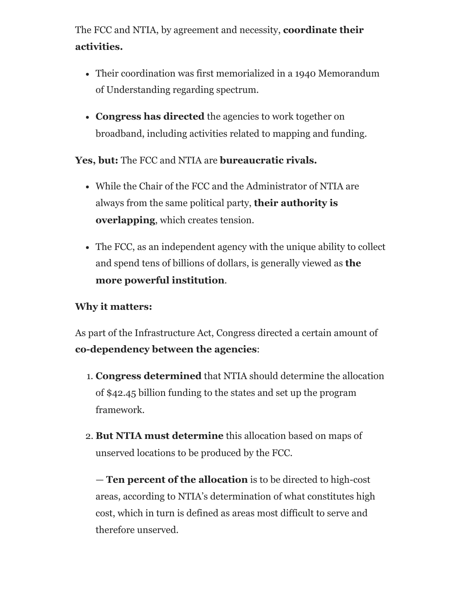The FCC and NTIA, by agreement and necessity, **coordinate their activities.**

- Their coordination was first memorialized in a 1940 Memorandum of Understanding regarding spectrum.
- **Congress has directed** the agencies to work together on broadband, including activities related to mapping and funding.

**Yes, but:** The FCC and NTIA are **bureaucratic rivals.**

- While the Chair of the FCC and the Administrator of NTIA are always from the same political party, **their authority is overlapping**, which creates tension.
- The FCC, as an independent agency with the unique ability to collect and spend tens of billions of dollars, is generally viewed as **the more powerful institution**.

#### **Why it matters:**

As part of the Infrastructure Act, Congress directed a certain amount of **co-dependency between the agencies**:

- 1. **Congress determined** that NTIA should determine the allocation of \$42.45 billion funding to the states and set up the program framework.
- 2. **But NTIA must determine** this allocation based on maps of unserved locations to be produced by the FCC.

— **Ten percent of the allocation** is to be directed to high-cost areas, according to NTIA's determination of what constitutes high cost, which in turn is defined as areas most difficult to serve and therefore unserved.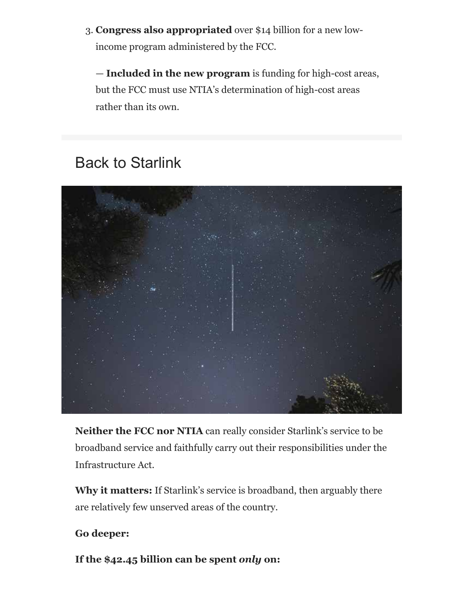3. **Congress also appropriated** over \$14 billion for a new lowincome program administered by the FCC.

— **Included in the new program** is funding for high-cost areas, but the FCC must use NTIA's determination of high-cost areas rather than its own.

### Back to Starlink



**Neither the FCC nor NTIA** can really consider Starlink's service to be broadband service and faithfully carry out their responsibilities under the Infrastructure Act.

**Why it matters:** If Starlink's service is broadband, then arguably there are relatively few unserved areas of the country.

#### **Go deeper:**

**If the \$42.45 billion can be spent** *only* **on:**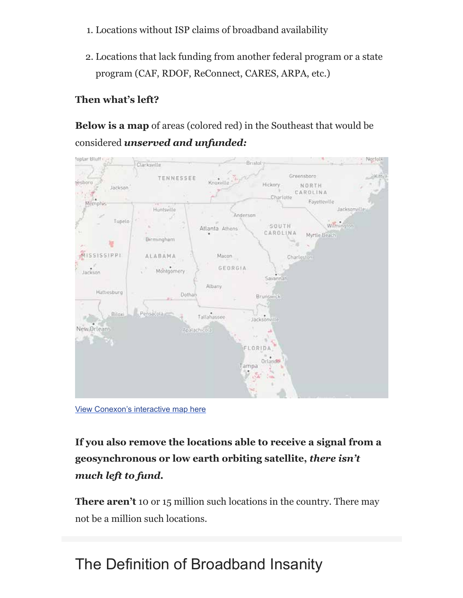- 1. Locations without ISP claims of broadband availability
- 2. Locations that lack funding from another federal program or a state program (CAF, RDOF, ReConnect, CARES, ARPA, etc.)

### **Then what's left?**

**Below is a map** of areas (colored red) in the Southeast that would be considered *unserved and unfunded:*



View Conexon's interactive map here

**If you also remove the locations able to receive a signal from a geosynchronous or low earth orbiting satellite,** *there isn't much left to fund.*

**There aren't** 10 or 15 million such locations in the country. There may not be a million such locations.

### The Definition of Broadband Insanity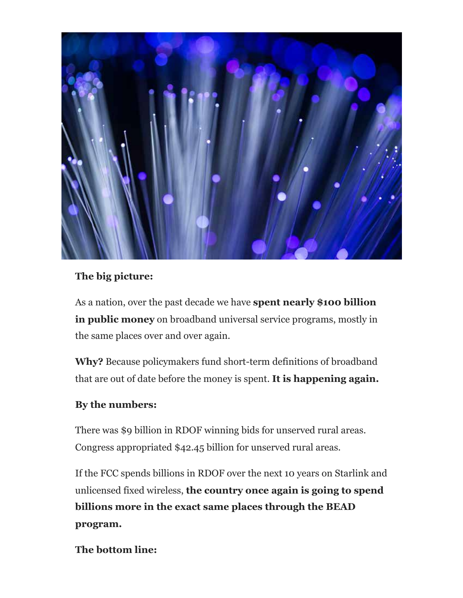

#### **The big picture:**

As a nation, over the past decade we have **spent nearly \$100 billion in public money** on broadband universal service programs, mostly in the same places over and over again.

**Why?** Because policymakers fund short-term definitions of broadband that are out of date before the money is spent. **It is happening again.**

#### **By the numbers:**

There was \$9 billion in RDOF winning bids for unserved rural areas. Congress appropriated \$42.45 billion for unserved rural areas.

If the FCC spends billions in RDOF over the next 10 years on Starlink and unlicensed fixed wireless, **the country once again is going to spend billions more in the exact same places through the BEAD program.**

**The bottom line:**